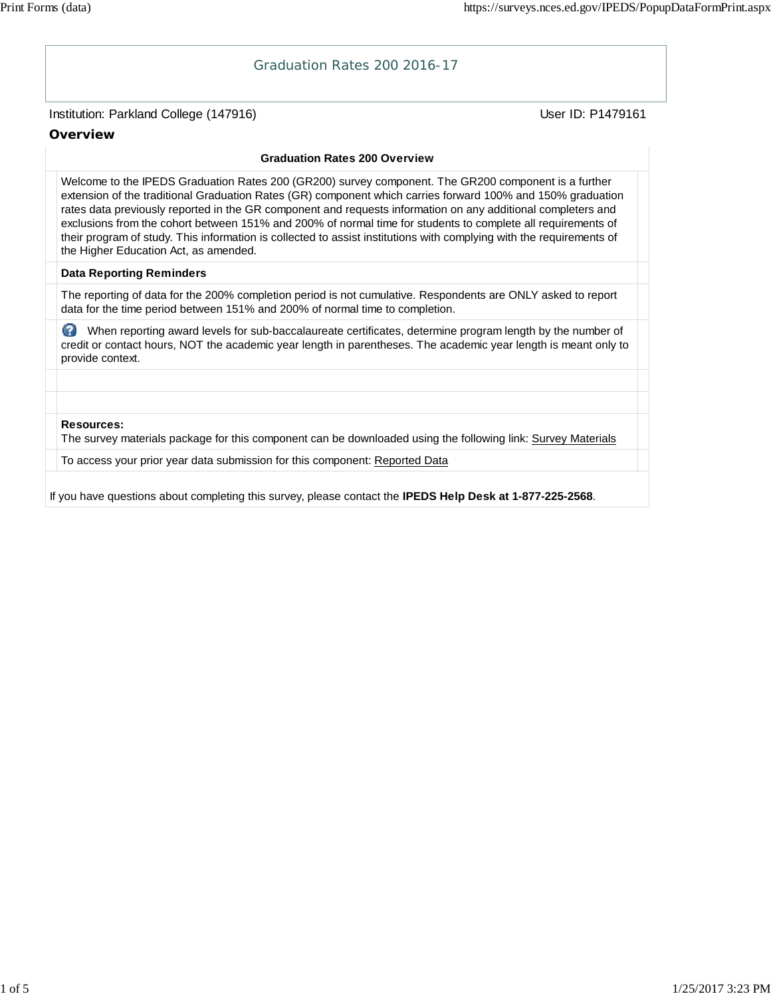# Institution: Parkland College (147916) November 2012 12: Physics User ID: P1479161 Graduation Rates 200 2016-17 **Overview Graduation Rates 200 Overview** Welcome to the IPEDS Graduation Rates 200 (GR200) survey component. The GR200 component is a further extension of the traditional Graduation Rates (GR) component which carries forward 100% and 150% graduation rates data previously reported in the GR component and requests information on any additional completers and exclusions from the cohort between 151% and 200% of normal time for students to complete all requirements of their program of study. This information is collected to assist institutions with complying with the requirements of the Higher Education Act, as amended. **Data Reporting Reminders** The reporting of data for the 200% completion period is not cumulative. Respondents are ONLY asked to report data for the time period between 151% and 200% of normal time to completion. When reporting award levels for sub-baccalaureate certificates, determine program length by the number of credit or contact hours, NOT the academic year length in parentheses. The academic year length is meant only to provide context. **Resources:** The survey materials package for this component can be downloaded using the following link: Survey Materials To access your prior year data submission for this component: Reported Data If you have questions about completing this survey, please contact the **IPEDS Help Desk at 1-877-225-2568**.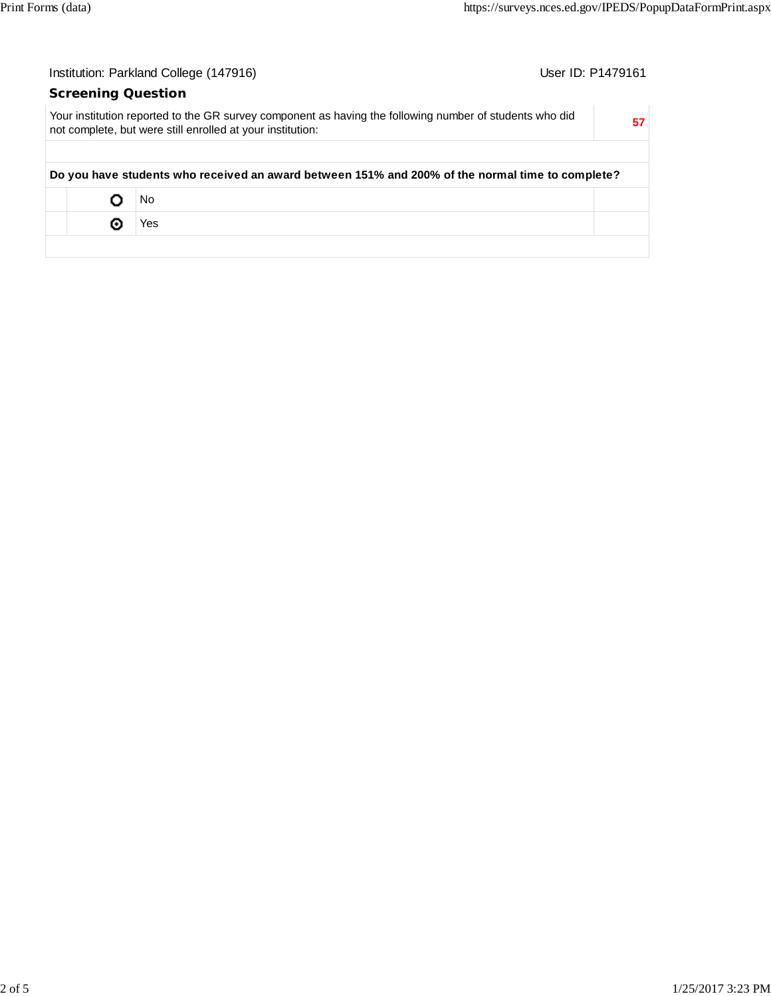| User ID: P1479161<br>Institution: Parkland College (147916) |                                                                                                                                                                       |    |  |  |
|-------------------------------------------------------------|-----------------------------------------------------------------------------------------------------------------------------------------------------------------------|----|--|--|
| <b>Screening Question</b>                                   |                                                                                                                                                                       |    |  |  |
|                                                             | Your institution reported to the GR survey component as having the following number of students who did<br>not complete, but were still enrolled at your institution: | 57 |  |  |
|                                                             |                                                                                                                                                                       |    |  |  |
|                                                             | Do you have students who received an award between 151% and 200% of the normal time to complete?                                                                      |    |  |  |
|                                                             | No                                                                                                                                                                    |    |  |  |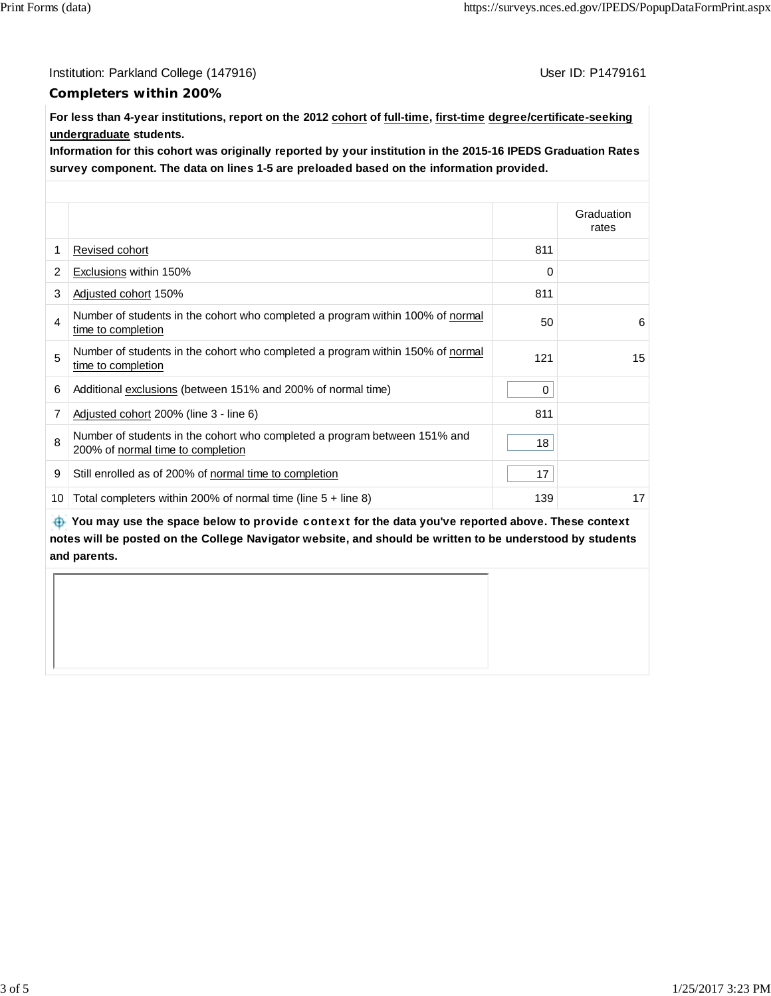Institution: Parkland College (147916) Contract College (147916)

#### **Completers within 200%**

**For less than 4-year institutions, report on the 2012 cohort of full-time, first-time degree/certificate-seeking undergraduate students.**

**Information for this cohort was originally reported by your institution in the 2015-16 IPEDS Graduation Rates survey component. The data on lines 1-5 are preloaded based on the information provided.**

|    |                                                                                                                |     | Graduation<br>rates |
|----|----------------------------------------------------------------------------------------------------------------|-----|---------------------|
| 1  | Revised cohort                                                                                                 | 811 |                     |
| 2  | Exclusions within 150%                                                                                         | 0   |                     |
| 3  | Adjusted cohort 150%                                                                                           | 811 |                     |
| 4  | Number of students in the cohort who completed a program within 100% of normal<br>time to completion           | 50  | 6                   |
| 5  | Number of students in the cohort who completed a program within 150% of normal<br>time to completion           | 121 | 15                  |
| 6  | Additional exclusions (between 151% and 200% of normal time)                                                   | 0   |                     |
| 7  | Adjusted cohort 200% (line 3 - line 6)                                                                         | 811 |                     |
| 8  | Number of students in the cohort who completed a program between 151% and<br>200% of normal time to completion | 18  |                     |
| 9  | Still enrolled as of 200% of normal time to completion                                                         | 17  |                     |
| 10 | Total completers within 200% of normal time (line $5 +$ line 8)                                                | 139 | 17                  |

 **You may use the space below to** provide context **for the data you've reported above. These context notes will be posted on the College Navigator website, and should be written to be understood by students and parents.**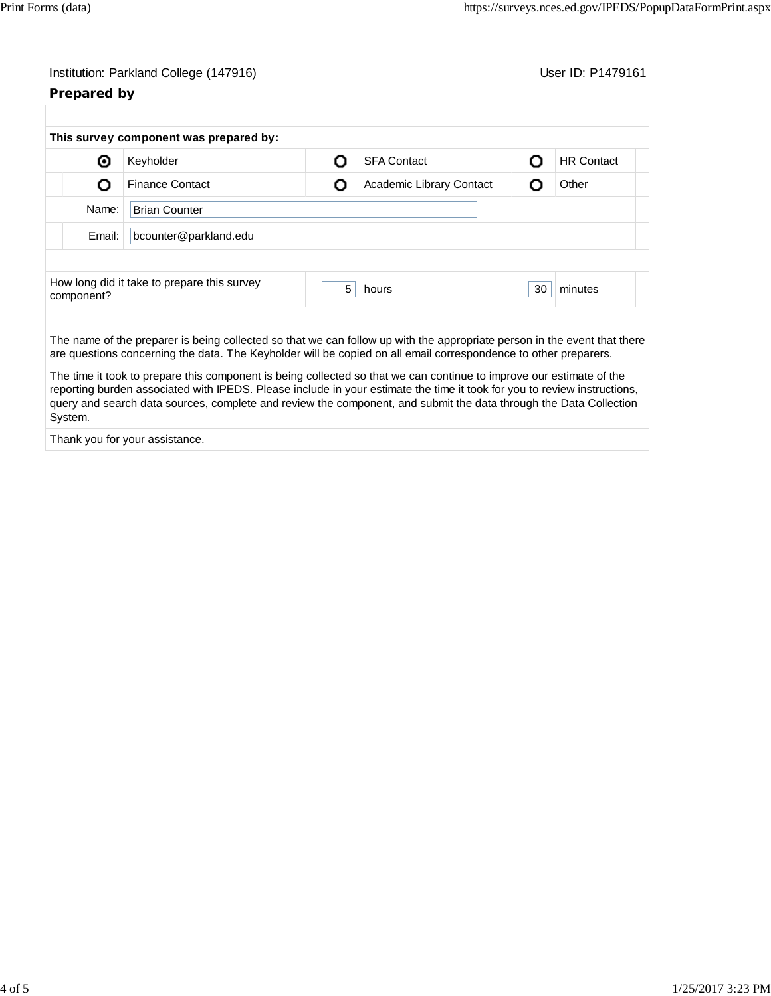# Institution: Parkland College (147916) Contract College (147916)

## **Prepared by**

|                                                                  | This survey component was prepared by:                                                                                                                                                                                                                                                                                                                                |   |                          |    |                   |  |
|------------------------------------------------------------------|-----------------------------------------------------------------------------------------------------------------------------------------------------------------------------------------------------------------------------------------------------------------------------------------------------------------------------------------------------------------------|---|--------------------------|----|-------------------|--|
| ⊙                                                                | Keyholder                                                                                                                                                                                                                                                                                                                                                             | Ω | <b>SFA Contact</b>       | Ω  | <b>HR Contact</b> |  |
| O                                                                | <b>Finance Contact</b>                                                                                                                                                                                                                                                                                                                                                | Ο | Academic Library Contact | റ  | Other             |  |
| Name:<br><b>Brian Counter</b><br>Email:<br>bcounter@parkland.edu |                                                                                                                                                                                                                                                                                                                                                                       |   |                          |    |                   |  |
|                                                                  |                                                                                                                                                                                                                                                                                                                                                                       |   |                          |    |                   |  |
| component?                                                       | How long did it take to prepare this survey                                                                                                                                                                                                                                                                                                                           | 5 | hours                    | 30 | minutes           |  |
|                                                                  | The name of the preparer is being collected so that we can follow up with the appropriate person in the event that there<br>are questions concerning the data. The Keyholder will be copied on all email correspondence to other preparers.                                                                                                                           |   |                          |    |                   |  |
| System.                                                          | The time it took to prepare this component is being collected so that we can continue to improve our estimate of the<br>reporting burden associated with IPEDS. Please include in your estimate the time it took for you to review instructions,<br>query and search data sources, complete and review the component, and submit the data through the Data Collection |   |                          |    |                   |  |
|                                                                  | Thank you for your assistance.                                                                                                                                                                                                                                                                                                                                        |   |                          |    |                   |  |